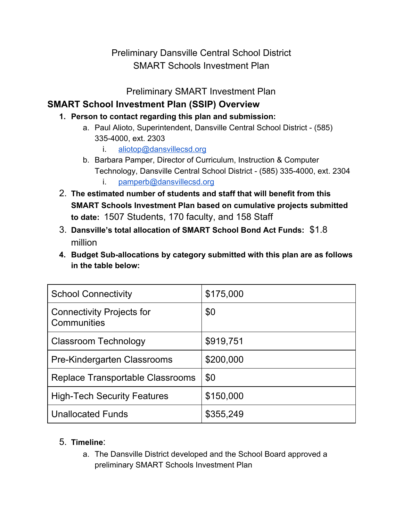Preliminary Dansville Central School District SMART Schools Investment Plan

Preliminary SMART Investment Plan

#### **SMART School Investment Plan (SSIP) Overview**

- **1. Person to contact regarding this plan and submission:**
	- a. Paul Alioto, Superintendent, Dansville Central School District (585) 3354000, ext. 2303
		- i. [aliotop@dansvillecsd.org](mailto:aliotop@dansvillecsd.org)
	- b. Barbara Pamper, Director of Curriculum, Instruction & Computer Technology, Dansville Central School District (585) 3354000, ext. 2304
		- i. [pamperb@dansvillecsd.org](mailto:pamperb@dansvillecsd.org)
- 2. **The estimated number of students and staff that will benefit from this SMART Schools Investment Plan based on cumulative projects submitted to date:**1507 Students, 170 faculty, and 158 Staff
- 3. **Dansville's total allocation of SMART School Bond Act Funds:**\$1.8 million
- **4. Budget Suballocations by category submitted with this plan are as follows in the table below:**

| <b>School Connectivity</b>                      | \$175,000 |
|-------------------------------------------------|-----------|
| <b>Connectivity Projects for</b><br>Communities | \$0       |
| <b>Classroom Technology</b>                     | \$919,751 |
| Pre-Kindergarten Classrooms                     | \$200,000 |
| Replace Transportable Classrooms                | \$0       |
| <b>High-Tech Security Features</b>              | \$150,000 |
| <b>Unallocated Funds</b>                        | \$355,249 |

#### 5. **Timeline**:

a. The Dansville District developed and the School Board approved a preliminary SMART Schools Investment Plan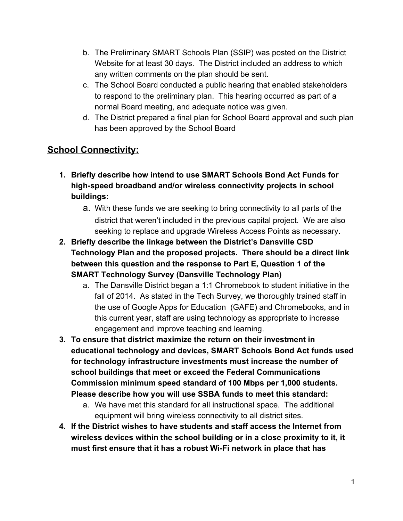- b. The Preliminary SMART Schools Plan (SSIP) was posted on the District Website for at least 30 days. The District included an address to which any written comments on the plan should be sent.
- c. The School Board conducted a public hearing that enabled stakeholders to respond to the preliminary plan. This hearing occurred as part of a normal Board meeting, and adequate notice was given.
- d. The District prepared a final plan for School Board approval and such plan has been approved by the School Board

# **School Connectivity:**

- **1. Briefly describe how intend to use SMART Schools Bond Act Funds for highspeed broadband and/or wireless connectivity projects in school buildings:**
	- a. With these funds we are seeking to bring connectivity to all parts of the district that weren't included in the previous capital project. We are also seeking to replace and upgrade Wireless Access Points as necessary.
- **2. Briefly describe the linkage between the District's Dansville CSD Technology Plan and the proposed projects. There should be a direct link between this question and the response to Part E, Question 1 of the SMART Technology Survey (Dansville Technology Plan)**
	- a. The Dansville District began a 1:1 Chromebook to student initiative in the fall of 2014. As stated in the Tech Survey, we thoroughly trained staff in the use of Google Apps for Education (GAFE) and Chromebooks, and in this current year, staff are using technology as appropriate to increase engagement and improve teaching and learning.
- **3. To ensure that district maximize the return on their investment in educational technology and devices, SMART Schools Bond Act funds used for technology infrastructure investments must increase the number of school buildings that meet or exceed the Federal Communications Commission minimum speed standard of 100 Mbps per 1,000 students. Please describe how you will use SSBA funds to meet this standard:**
	- a. We have met this standard for all instructional space. The additional equipment will bring wireless connectivity to all district sites.
- **4. If the District wishes to have students and staff access the Internet from wireless devices within the school building or in a close proximity to it, it must first ensure that it has a robust WiFi network in place that has**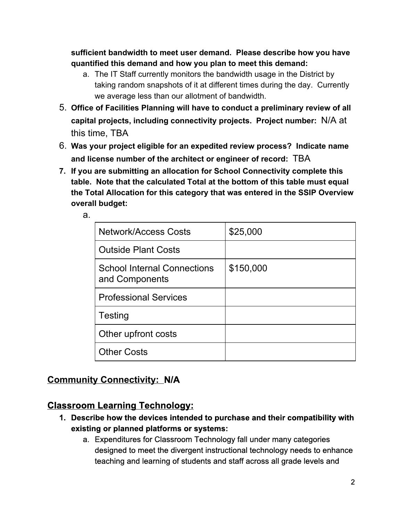**sufficient bandwidth to meet user demand. Please describe how you have quantified this demand and how you plan to meet this demand:**

- a. The IT Staff currently monitors the bandwidth usage in the District by taking random snapshots of it at different times during the day. Currently we average less than our allotment of bandwidth.
- 5. **Office of Facilities Planning will have to conduct a preliminary review of all capital projects, including connectivity projects. Project number:** N/A at this time, TBA
- 6. **Was your project eligible for an expedited review process? Indicate name and license number of the architect or engineer of record:** TBA
- **7. If you are submitting an allocation for School Connectivity complete this table. Note that the calculated Total at the bottom of this table must equal the Total Allocation for this category that was entered in the SSIP Overview overall budget:**

| <b>Network/Access Costs</b>                          | \$25,000  |
|------------------------------------------------------|-----------|
| <b>Outside Plant Costs</b>                           |           |
| <b>School Internal Connections</b><br>and Components | \$150,000 |
| <b>Professional Services</b>                         |           |
| Testing                                              |           |
| Other upfront costs                                  |           |
| <b>Other Costs</b>                                   |           |

## **Community Connectivity: N/A**

a.

## **Classroom Learning Technology:**

- **1. Describe how the devices intended to purchase and their compatibility with existing or planned platforms or systems:**
	- a. Expenditures for Classroom Technology fall under many categories designed to meet the divergent instructional technology needs to enhance teaching and learning of students and staff across all grade levels and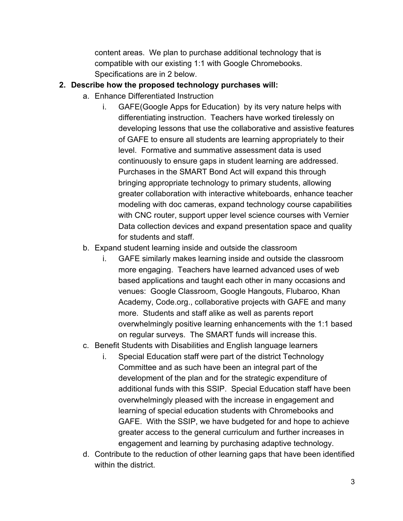content areas. We plan to purchase additional technology that is compatible with our existing 1:1 with Google Chromebooks. Specifications are in 2 below.

#### **2. Describe how the proposed technology purchases will:**

- a. Enhance Differentiated Instruction
	- i. GAFE(Google Apps for Education) by its very nature helps with differentiating instruction. Teachers have worked tirelessly on developing lessons that use the collaborative and assistive features of GAFE to ensure all students are learning appropriately to their level. Formative and summative assessment data is used continuously to ensure gaps in student learning are addressed. Purchases in the SMART Bond Act will expand this through bringing appropriate technology to primary students, allowing greater collaboration with interactive whiteboards, enhance teacher modeling with doc cameras, expand technology course capabilities with CNC router, support upper level science courses with Vernier Data collection devices and expand presentation space and quality for students and staff.
- b. Expand student learning inside and outside the classroom
	- i. GAFE similarly makes learning inside and outside the classroom more engaging. Teachers have learned advanced uses of web based applications and taught each other in many occasions and venues: Google Classroom, Google Hangouts, Flubaroo, Khan Academy, Code.org., collaborative projects with GAFE and many more. Students and staff alike as well as parents report overwhelmingly positive learning enhancements with the 1:1 based on regular surveys. The SMART funds will increase this.
- c. Benefit Students with Disabilities and English language learners
	- i. Special Education staff were part of the district Technology Committee and as such have been an integral part of the development of the plan and for the strategic expenditure of additional funds with this SSIP. Special Education staff have been overwhelmingly pleased with the increase in engagement and learning of special education students with Chromebooks and GAFE. With the SSIP, we have budgeted for and hope to achieve greater access to the general curriculum and further increases in engagement and learning by purchasing adaptive technology.
- d. Contribute to the reduction of other learning gaps that have been identified within the district.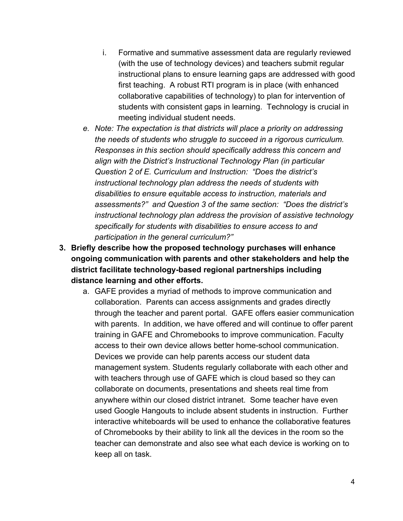- i. Formative and summative assessment data are regularly reviewed (with the use of technology devices) and teachers submit regular instructional plans to ensure learning gaps are addressed with good first teaching. A robust RTI program is in place (with enhanced collaborative capabilities of technology) to plan for intervention of students with consistent gaps in learning. Technology is crucial in meeting individual student needs.
- *e. Note: The expectation is that districts will place a priority on addressing the needs of students who struggle to succeed in a rigorous curriculum. Responses in this section should specifically address this concern and align with the District's Instructional Technology Plan (in particular Question 2 of E. Curriculum and Instruction: "Does the district's instructional technology plan address the needs of students with disabilities to ensure equitable access to instruction, materials and assessments?" and Question 3 of the same section: "Does the district's instructional technology plan address the provision of assistive technology specifically for students with disabilities to ensure access to and participation in the general curriculum?"*
- **3. Briefly describe how the proposed technology purchases will enhance ongoing communication with parents and other stakeholders and help the district facilitate technologybased regional partnerships including distance learning and other efforts.**
	- a. GAFE provides a myriad of methods to improve communication and collaboration. Parents can access assignments and grades directly through the teacher and parent portal. GAFE offers easier communication with parents. In addition, we have offered and will continue to offer parent training in GAFE and Chromebooks to improve communication. Faculty access to their own device allows better homeschool communication. Devices we provide can help parents access our student data management system. Students regularly collaborate with each other and with teachers through use of GAFE which is cloud based so they can collaborate on documents, presentations and sheets real time from anywhere within our closed district intranet. Some teacher have even used Google Hangouts to include absent students in instruction. Further interactive whiteboards will be used to enhance the collaborative features of Chromebooks by their ability to link all the devices in the room so the teacher can demonstrate and also see what each device is working on to keep all on task.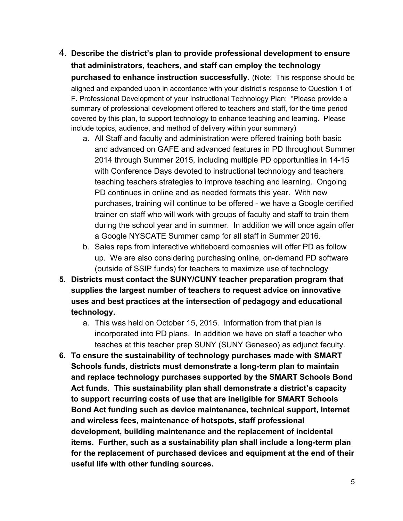- 4. **Describe the district's plan to provide professional development to ensure that administrators, teachers, and staff can employ the technology purchased to enhance instruction successfully.**(Note: This response should be aligned and expanded upon in accordance with your district's response to Question 1 of F. Professional Development of your Instructional Technology Plan: "Please provide a summary of professional development offered to teachers and staff, for the time period covered by this plan, to support technology to enhance teaching and learning. Please include topics, audience, and method of delivery within your summary)
	- a. All Staff and faculty and administration were offered training both basic and advanced on GAFE and advanced features in PD throughout Summer 2014 through Summer 2015, including multiple PD opportunities in 14-15 with Conference Days devoted to instructional technology and teachers teaching teachers strategies to improve teaching and learning. Ongoing PD continues in online and as needed formats this year. With new purchases, training will continue to be offered - we have a Google certified trainer on staff who will work with groups of faculty and staff to train them during the school year and in summer. In addition we will once again offer a Google NYSCATE Summer camp for all staff in Summer 2016.
	- b. Sales reps from interactive whiteboard companies will offer PD as follow up. We are also considering purchasing online, on-demand PD software (outside of SSIP funds) for teachers to maximize use of technology
- **5. Districts must contact the SUNY/CUNY teacher preparation program that supplies the largest number of teachers to request advice on innovative uses and best practices at the intersection of pedagogy and educational technology.**
	- a. This was held on October 15, 2015. Information from that plan is incorporated into PD plans. In addition we have on staff a teacher who teaches at this teacher prep SUNY (SUNY Geneseo) as adjunct faculty.
- **6. To ensure the sustainability of technology purchases made with SMART Schools** funds, districts must demonstrate a long-term plan to maintain **and replace technology purchases supported by the SMART Schools Bond Act funds. This sustainability plan shall demonstrate a district's capacity to support recurring costs of use that are ineligible for SMART Schools Bond Act funding such as device maintenance, technical support, Internet and wireless fees, maintenance of hotspots, staff professional development, building maintenance and the replacement of incidental items. Further, such as a sustainability plan shall include a longterm plan for the replacement of purchased devices and equipment at the end of their useful life with other funding sources.**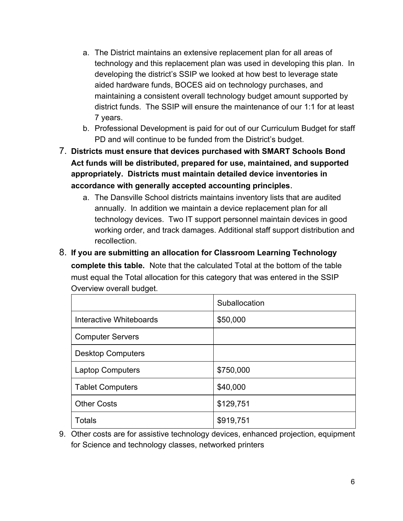- a. The District maintains an extensive replacement plan for all areas of technology and this replacement plan was used in developing this plan. In developing the district's SSIP we looked at how best to leverage state aided hardware funds, BOCES aid on technology purchases, and maintaining a consistent overall technology budget amount supported by district funds. The SSIP will ensure the maintenance of our 1:1 for at least 7 years.
- b. Professional Development is paid for out of our Curriculum Budget for staff PD and will continue to be funded from the District's budget.
- 7. **Districts must ensure that devices purchased with SMART Schools Bond Act funds will be distributed, prepared for use, maintained, and supported appropriately. Districts must maintain detailed device inventories in accordance with generally accepted accounting principles**.
	- a. The Dansville School districts maintains inventory lists that are audited annually. In addition we maintain a device replacement plan for all technology devices. Two IT support personnel maintain devices in good working order, and track damages. Additional staff support distribution and recollection.
- 8. **If you are submitting an allocation for Classroom Learning Technology complete this table.** Note that the calculated Total at the bottom of the table must equal the Total allocation for this category that was entered in the SSIP Overview overall budget.

|                          | Suballocation |
|--------------------------|---------------|
| Interactive Whiteboards  | \$50,000      |
| <b>Computer Servers</b>  |               |
| <b>Desktop Computers</b> |               |
| <b>Laptop Computers</b>  | \$750,000     |
| <b>Tablet Computers</b>  | \$40,000      |
| <b>Other Costs</b>       | \$129,751     |
| <b>Totals</b>            | \$919,751     |

9. Other costs are for assistive technology devices, enhanced projection, equipment for Science and technology classes, networked printers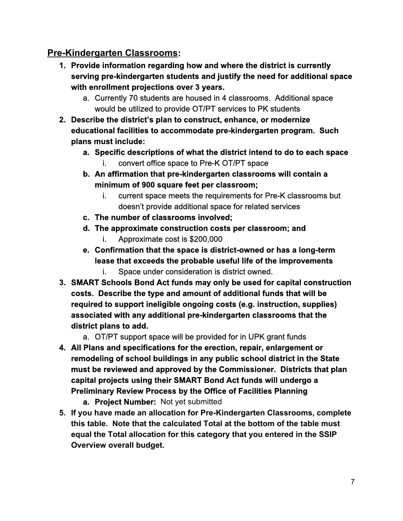#### **Pre-Kindergarten Classrooms:**

- **1. Provide information regarding how and where the district is currently serving prekindergarten students and justify the need for additional space with enrollment projections over 3 years.**
	- a. Currently 70 students are housed in 4 classrooms. Additional space would be utilized to provide OT/PT services to PK students
- **2. Describe the district's plan to construct, enhance, or modernize educational facilities to accommodate prekindergarten program. Such plans must include:**
	- **a. Specific descriptions of what the district intend to do to each space** i. convert office space to Pre-K OT/PT space
	- **b. An affirmation that prekindergarten classrooms will contain a minimum of 900 square feet per classroom;**
		- i. current space meets the requirements for Pre-K classrooms but doesn't provide additional space for related services
	- **c. The number of classrooms involved;**
	- **d. The approximate construction costs per classroom; and** i. Approximate cost is \$200,000
	- **e.** Confirmation that the space is district-owned or has a long-term **lease that exceeds the probable useful life of the improvements**
		- i. Space under consideration is district owned.
- **3. SMART Schools Bond Act funds may only be used for capital construction costs. Describe the type and amount of additional funds that will be required to support ineligible ongoing costs (e.g. instruction, supplies) associated with any additional prekindergarten classrooms that the district plans to add.**
	- a. OT/PT support space will be provided for in UPK grant funds
- **4. All Plans and specifications for the erection, repair, enlargement or remodeling of school buildings in any public school district in the State must be reviewed and approved by the Commissioner. Districts that plan capital projects using their SMART Bond Act funds will undergo a Preliminary Review Process by the Office of Facilities Planning**
	- **a. Project Number:** Not yet submitted
- **5. If you have made an allocation for PreKindergarten Classrooms, complete this table. Note that the calculated Total at the bottom of the table must equal the Total allocation for this category that you entered in the SSIP Overview overall budget.**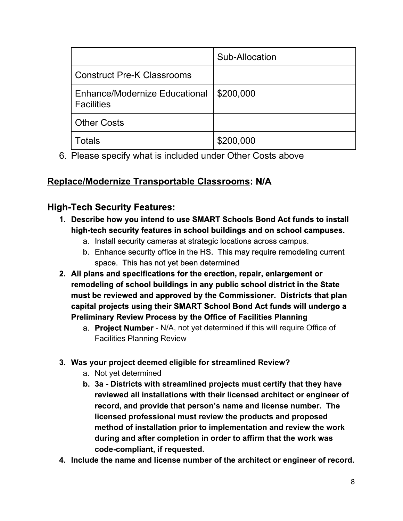|                                                    | Sub-Allocation |
|----------------------------------------------------|----------------|
| <b>Construct Pre-K Classrooms</b>                  |                |
| Enhance/Modernize Educational<br><b>Facilities</b> | \$200,000      |
| <b>Other Costs</b>                                 |                |
| Totals                                             | \$200,000      |

6. Please specify what is included under Other Costs above

## **Replace/Modernize Transportable Classrooms: N/A**

# **High-Tech Security Features:**

- **1. Describe how you intend to use SMART Schools Bond Act funds to install hightech security features in school buildings and on school campuses.**
	- a. Install security cameras at strategic locations across campus.
	- b. Enhance security office in the HS. This may require remodeling current space. This has not yet been determined
- **2. All plans and specifications for the erection, repair, enlargement or remodeling of school buildings in any public school district in the State must be reviewed and approved by the Commissioner. Districts that plan capital projects using their SMART School Bond Act funds will undergo a Preliminary Review Process by the Office of Facilities Planning**
	- a. **Project Number** N/A, not yet determined if this will require Office of Facilities Planning Review
- **3. Was your project deemed eligible for streamlined Review?**
	- a. Not yet determined
	- **b. 3a Districts with streamlined projects must certify that they have reviewed all installations with their licensed architect or engineer of record, and provide that person's name and license number. The licensed professional must review the products and proposed method of installation prior to implementation and review the work during and after completion in order to affirm that the work was codecompliant, if requested.**
- **4. Include the name and license number of the architect or engineer of record.**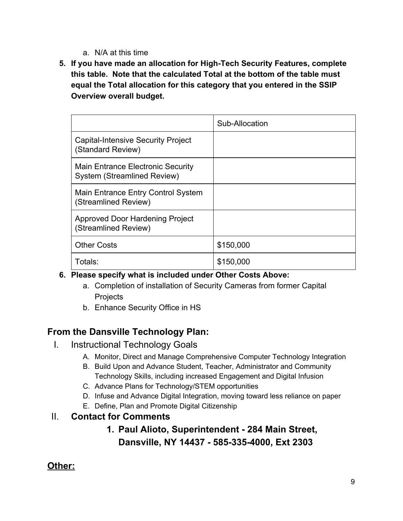- a. N/A at this time
- **5. If you have made an allocation for HighTech Security Features, complete this table. Note that the calculated Total at the bottom of the table must equal the Total allocation for this category that you entered in the SSIP Overview overall budget.**

|                                                                                | Sub-Allocation |
|--------------------------------------------------------------------------------|----------------|
| <b>Capital-Intensive Security Project</b><br>(Standard Review)                 |                |
| <b>Main Entrance Electronic Security</b><br><b>System (Streamlined Review)</b> |                |
| Main Entrance Entry Control System<br>(Streamlined Review)                     |                |
| Approved Door Hardening Project<br>(Streamlined Review)                        |                |
| <b>Other Costs</b>                                                             | \$150,000      |
| Totals:                                                                        | \$150,000      |

- **6. Please specify what is included under Other Costs Above:**
	- a. Completion of installation of Security Cameras from former Capital **Projects**
	- b. Enhance Security Office in HS

#### **From the Dansville Technology Plan:**

- I. Instructional Technology Goals
	- A. Monitor, Direct and Manage Comprehensive Computer Technology Integration
	- B. Build Upon and Advance Student, Teacher, Administrator and Community Technology Skills, including increased Engagement and Digital Infusion
	- C. Advance Plans for Technology/STEM opportunities
	- D. Infuse and Advance Digital Integration, moving toward less reliance on paper
	- E. Define, Plan and Promote Digital Citizenship
- II. **Contact for Comments**

## **1. Paul Alioto, Superintendent 284 Main Street, Dansville, NY 14437 5853354000, Ext 2303**

## **Other:**